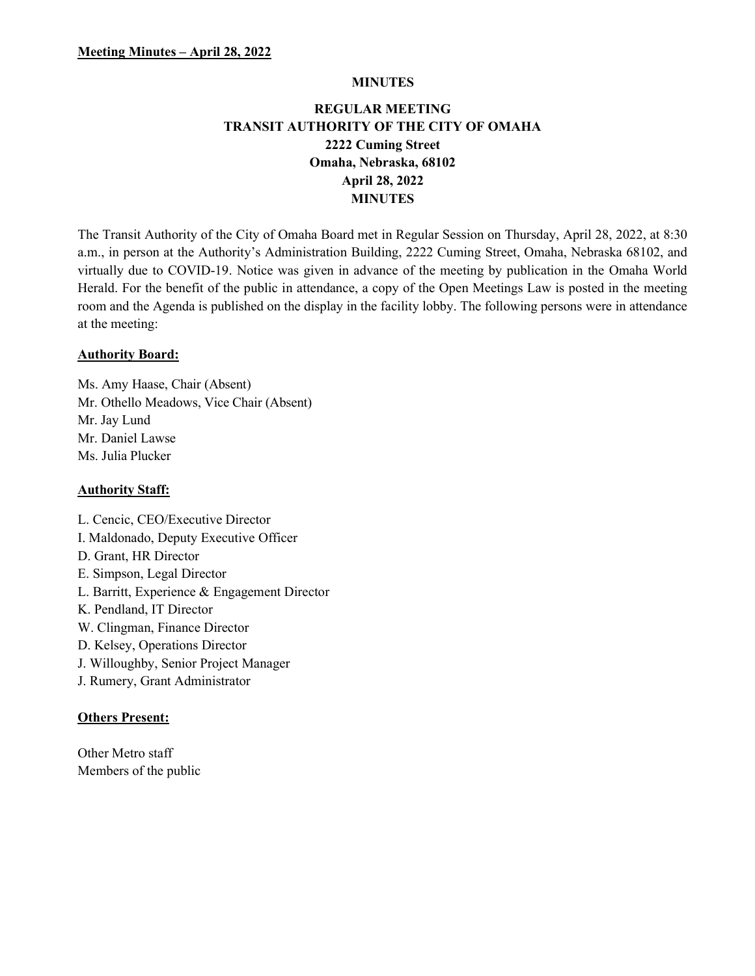#### MINUTES

# REGULAR MEETING TRANSIT AUTHORITY OF THE CITY OF OMAHA 2222 Cuming Street Omaha, Nebraska, 68102 April 28, 2022 MINUTES

The Transit Authority of the City of Omaha Board met in Regular Session on Thursday, April 28, 2022, at 8:30 a.m., in person at the Authority's Administration Building, 2222 Cuming Street, Omaha, Nebraska 68102, and virtually due to COVID-19. Notice was given in advance of the meeting by publication in the Omaha World Herald. For the benefit of the public in attendance, a copy of the Open Meetings Law is posted in the meeting room and the Agenda is published on the display in the facility lobby. The following persons were in attendance at the meeting:

### Authority Board:

Ms. Amy Haase, Chair (Absent) Mr. Othello Meadows, Vice Chair (Absent) Mr. Jay Lund Mr. Daniel Lawse Ms. Julia Plucker

### Authority Staff:

L. Cencic, CEO/Executive Director I. Maldonado, Deputy Executive Officer D. Grant, HR Director E. Simpson, Legal Director L. Barritt, Experience & Engagement Director K. Pendland, IT Director W. Clingman, Finance Director D. Kelsey, Operations Director J. Willoughby, Senior Project Manager J. Rumery, Grant Administrator

### Others Present:

Other Metro staff Members of the public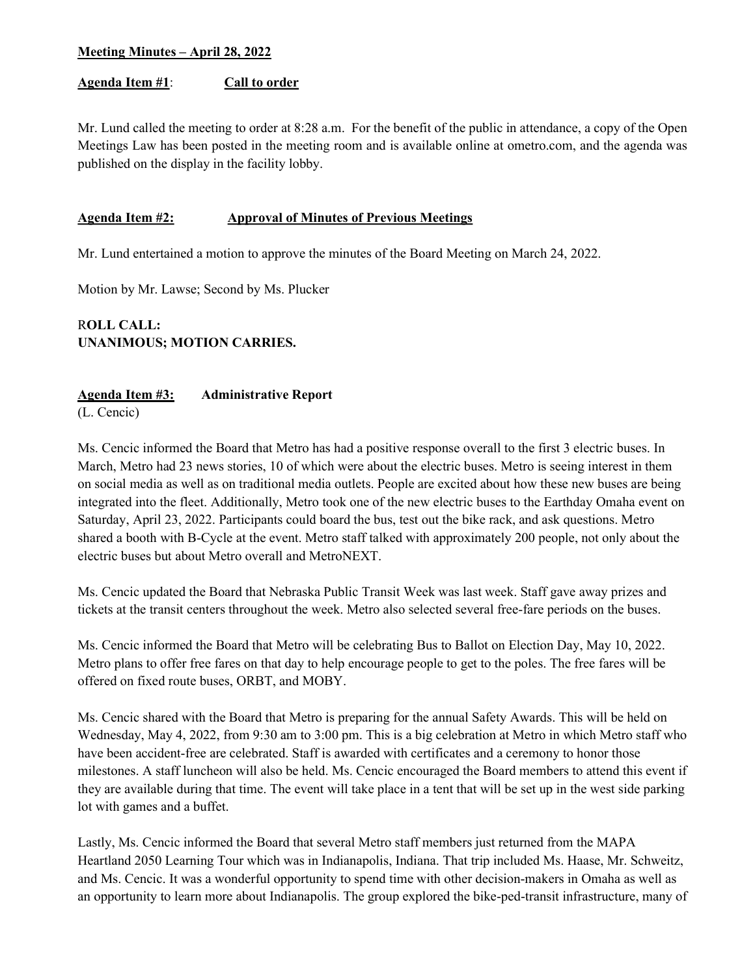### Agenda Item #1: Call to order

Mr. Lund called the meeting to order at 8:28 a.m. For the benefit of the public in attendance, a copy of the Open Meetings Law has been posted in the meeting room and is available online at ometro.com, and the agenda was published on the display in the facility lobby.

### Agenda Item #2: Approval of Minutes of Previous Meetings

Mr. Lund entertained a motion to approve the minutes of the Board Meeting on March 24, 2022.

Motion by Mr. Lawse; Second by Ms. Plucker

# ROLL CALL: UNANIMOUS; MOTION CARRIES.

### Agenda Item #3: Administrative Report

(L. Cencic)

Ms. Cencic informed the Board that Metro has had a positive response overall to the first 3 electric buses. In March, Metro had 23 news stories, 10 of which were about the electric buses. Metro is seeing interest in them on social media as well as on traditional media outlets. People are excited about how these new buses are being integrated into the fleet. Additionally, Metro took one of the new electric buses to the Earthday Omaha event on Saturday, April 23, 2022. Participants could board the bus, test out the bike rack, and ask questions. Metro shared a booth with B-Cycle at the event. Metro staff talked with approximately 200 people, not only about the electric buses but about Metro overall and MetroNEXT.

Ms. Cencic updated the Board that Nebraska Public Transit Week was last week. Staff gave away prizes and tickets at the transit centers throughout the week. Metro also selected several free-fare periods on the buses.

Ms. Cencic informed the Board that Metro will be celebrating Bus to Ballot on Election Day, May 10, 2022. Metro plans to offer free fares on that day to help encourage people to get to the poles. The free fares will be offered on fixed route buses, ORBT, and MOBY.

Ms. Cencic shared with the Board that Metro is preparing for the annual Safety Awards. This will be held on Wednesday, May 4, 2022, from 9:30 am to 3:00 pm. This is a big celebration at Metro in which Metro staff who have been accident-free are celebrated. Staff is awarded with certificates and a ceremony to honor those milestones. A staff luncheon will also be held. Ms. Cencic encouraged the Board members to attend this event if they are available during that time. The event will take place in a tent that will be set up in the west side parking lot with games and a buffet.

Lastly, Ms. Cencic informed the Board that several Metro staff members just returned from the MAPA Heartland 2050 Learning Tour which was in Indianapolis, Indiana. That trip included Ms. Haase, Mr. Schweitz, and Ms. Cencic. It was a wonderful opportunity to spend time with other decision-makers in Omaha as well as an opportunity to learn more about Indianapolis. The group explored the bike-ped-transit infrastructure, many of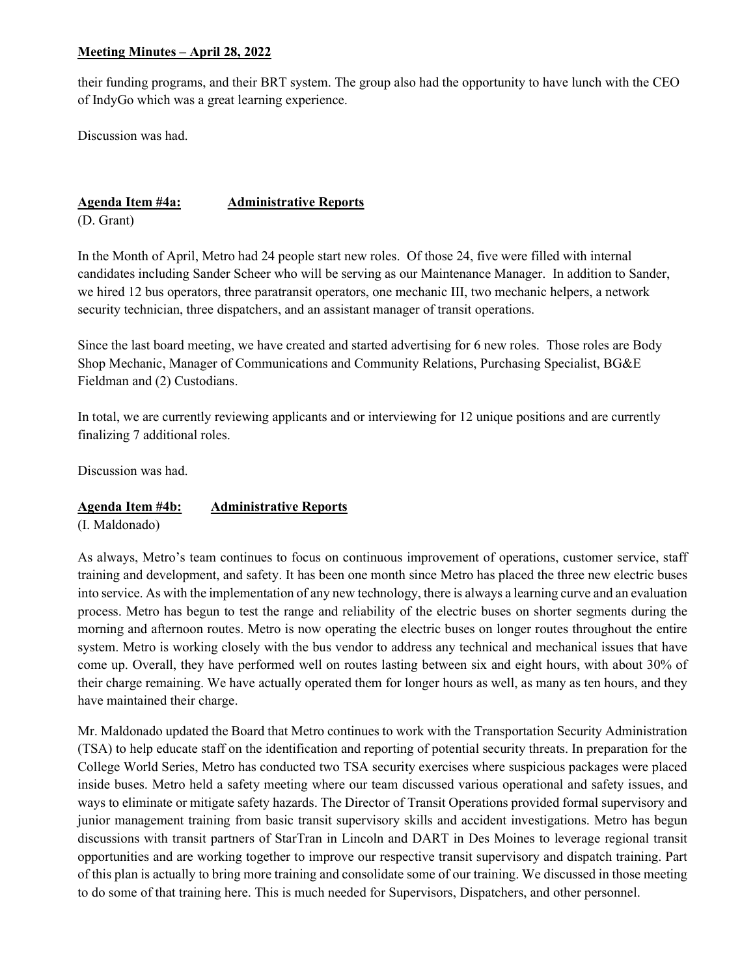their funding programs, and their BRT system. The group also had the opportunity to have lunch with the CEO of IndyGo which was a great learning experience.

Discussion was had.

Agenda Item #4a: **Administrative Reports** (D. Grant)

In the Month of April, Metro had 24 people start new roles. Of those 24, five were filled with internal candidates including Sander Scheer who will be serving as our Maintenance Manager. In addition to Sander, we hired 12 bus operators, three paratransit operators, one mechanic III, two mechanic helpers, a network security technician, three dispatchers, and an assistant manager of transit operations.

Since the last board meeting, we have created and started advertising for 6 new roles. Those roles are Body Shop Mechanic, Manager of Communications and Community Relations, Purchasing Specialist, BG&E Fieldman and (2) Custodians.

In total, we are currently reviewing applicants and or interviewing for 12 unique positions and are currently finalizing 7 additional roles.

Discussion was had.

# Agenda Item #4b: Administrative Reports

(I. Maldonado)

As always, Metro's team continues to focus on continuous improvement of operations, customer service, staff training and development, and safety. It has been one month since Metro has placed the three new electric buses into service. As with the implementation of any new technology, there is always a learning curve and an evaluation process. Metro has begun to test the range and reliability of the electric buses on shorter segments during the morning and afternoon routes. Metro is now operating the electric buses on longer routes throughout the entire system. Metro is working closely with the bus vendor to address any technical and mechanical issues that have come up. Overall, they have performed well on routes lasting between six and eight hours, with about 30% of their charge remaining. We have actually operated them for longer hours as well, as many as ten hours, and they have maintained their charge.

Mr. Maldonado updated the Board that Metro continues to work with the Transportation Security Administration (TSA) to help educate staff on the identification and reporting of potential security threats. In preparation for the College World Series, Metro has conducted two TSA security exercises where suspicious packages were placed inside buses. Metro held a safety meeting where our team discussed various operational and safety issues, and ways to eliminate or mitigate safety hazards. The Director of Transit Operations provided formal supervisory and junior management training from basic transit supervisory skills and accident investigations. Metro has begun discussions with transit partners of StarTran in Lincoln and DART in Des Moines to leverage regional transit opportunities and are working together to improve our respective transit supervisory and dispatch training. Part of this plan is actually to bring more training and consolidate some of our training. We discussed in those meeting to do some of that training here. This is much needed for Supervisors, Dispatchers, and other personnel.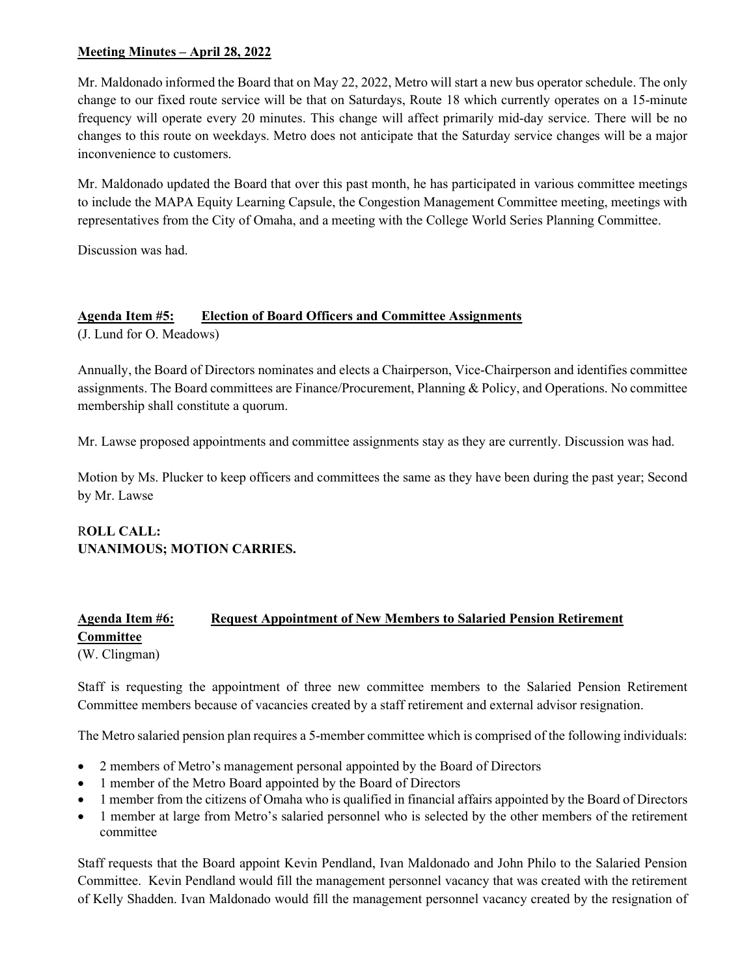Mr. Maldonado informed the Board that on May 22, 2022, Metro will start a new bus operator schedule. The only change to our fixed route service will be that on Saturdays, Route 18 which currently operates on a 15-minute frequency will operate every 20 minutes. This change will affect primarily mid-day service. There will be no changes to this route on weekdays. Metro does not anticipate that the Saturday service changes will be a major inconvenience to customers.

Mr. Maldonado updated the Board that over this past month, he has participated in various committee meetings to include the MAPA Equity Learning Capsule, the Congestion Management Committee meeting, meetings with representatives from the City of Omaha, and a meeting with the College World Series Planning Committee.

Discussion was had.

# Agenda Item #5: Election of Board Officers and Committee Assignments

(J. Lund for O. Meadows)

Annually, the Board of Directors nominates and elects a Chairperson, Vice-Chairperson and identifies committee assignments. The Board committees are Finance/Procurement, Planning & Policy, and Operations. No committee membership shall constitute a quorum.

Mr. Lawse proposed appointments and committee assignments stay as they are currently. Discussion was had.

Motion by Ms. Plucker to keep officers and committees the same as they have been during the past year; Second by Mr. Lawse

# ROLL CALL: UNANIMOUS; MOTION CARRIES.

# Agenda Item #6: Request Appointment of New Members to Salaried Pension Retirement **Committee**

(W. Clingman)

Staff is requesting the appointment of three new committee members to the Salaried Pension Retirement Committee members because of vacancies created by a staff retirement and external advisor resignation.

The Metro salaried pension plan requires a 5-member committee which is comprised of the following individuals:

- 2 members of Metro's management personal appointed by the Board of Directors
- 1 member of the Metro Board appointed by the Board of Directors
- 1 member from the citizens of Omaha who is qualified in financial affairs appointed by the Board of Directors
- 1 member at large from Metro's salaried personnel who is selected by the other members of the retirement committee

Staff requests that the Board appoint Kevin Pendland, Ivan Maldonado and John Philo to the Salaried Pension Committee. Kevin Pendland would fill the management personnel vacancy that was created with the retirement of Kelly Shadden. Ivan Maldonado would fill the management personnel vacancy created by the resignation of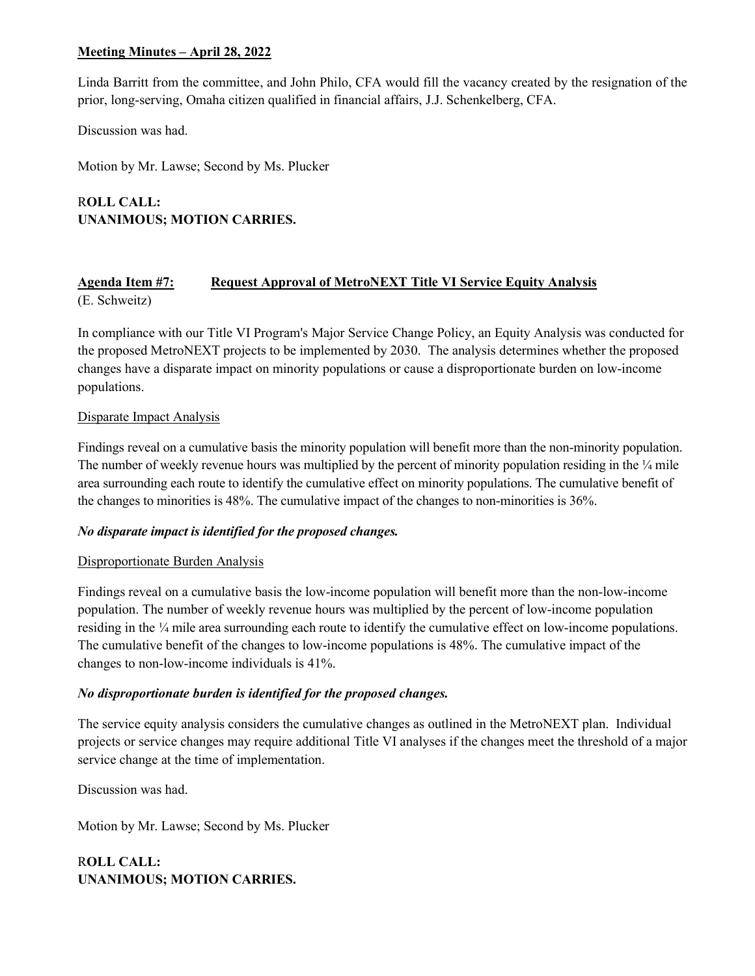Linda Barritt from the committee, and John Philo, CFA would fill the vacancy created by the resignation of the prior, long-serving, Omaha citizen qualified in financial affairs, J.J. Schenkelberg, CFA.

Discussion was had.

Motion by Mr. Lawse; Second by Ms. Plucker

ROLL CALL: UNANIMOUS; MOTION CARRIES.

## Agenda Item #7: Request Approval of MetroNEXT Title VI Service Equity Analysis (E. Schweitz)

In compliance with our Title VI Program's Major Service Change Policy, an Equity Analysis was conducted for the proposed MetroNEXT projects to be implemented by 2030. The analysis determines whether the proposed changes have a disparate impact on minority populations or cause a disproportionate burden on low-income populations.

### Disparate Impact Analysis

Findings reveal on a cumulative basis the minority population will benefit more than the non-minority population. The number of weekly revenue hours was multiplied by the percent of minority population residing in the ¼ mile area surrounding each route to identify the cumulative effect on minority populations. The cumulative benefit of the changes to minorities is 48%. The cumulative impact of the changes to non-minorities is 36%.

### No disparate impact is identified for the proposed changes.

### Disproportionate Burden Analysis

Findings reveal on a cumulative basis the low-income population will benefit more than the non-low-income population. The number of weekly revenue hours was multiplied by the percent of low-income population residing in the ¼ mile area surrounding each route to identify the cumulative effect on low-income populations. The cumulative benefit of the changes to low-income populations is 48%. The cumulative impact of the changes to non-low-income individuals is 41%.

# No disproportionate burden is identified for the proposed changes.

The service equity analysis considers the cumulative changes as outlined in the MetroNEXT plan. Individual projects or service changes may require additional Title VI analyses if the changes meet the threshold of a major service change at the time of implementation.

Discussion was had.

Motion by Mr. Lawse; Second by Ms. Plucker

ROLL CALL: UNANIMOUS; MOTION CARRIES.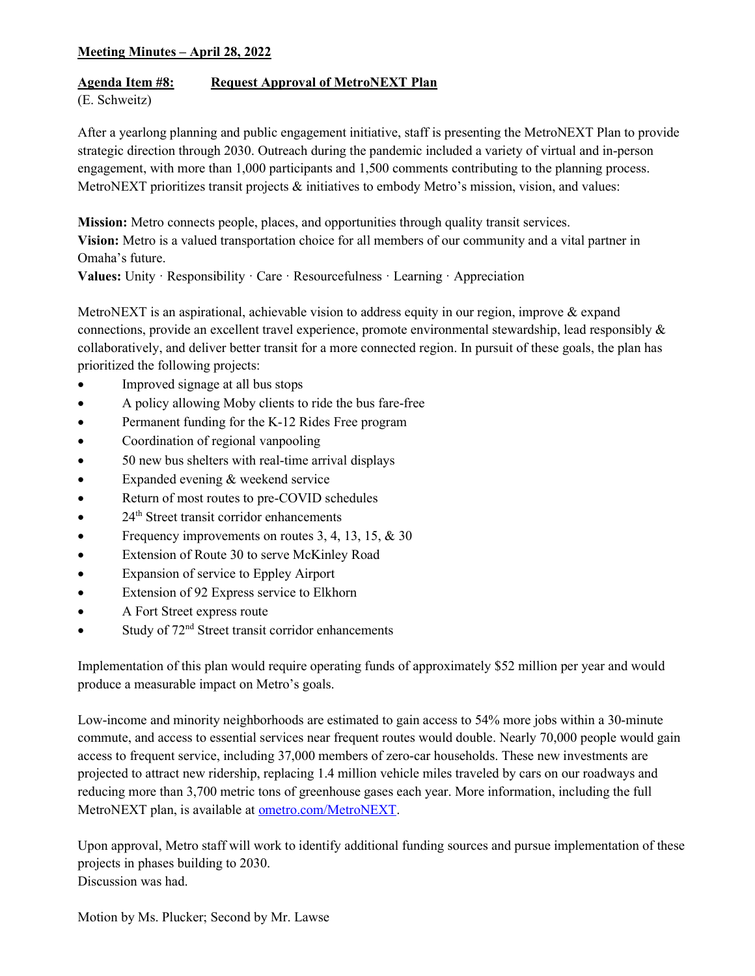## Agenda Item #8: Request Approval of MetroNEXT Plan

(E. Schweitz)

After a yearlong planning and public engagement initiative, staff is presenting the MetroNEXT Plan to provide strategic direction through 2030. Outreach during the pandemic included a variety of virtual and in-person engagement, with more than 1,000 participants and 1,500 comments contributing to the planning process. MetroNEXT prioritizes transit projects & initiatives to embody Metro's mission, vision, and values:

Mission: Metro connects people, places, and opportunities through quality transit services.

Vision: Metro is a valued transportation choice for all members of our community and a vital partner in Omaha's future.

Values: Unity · Responsibility · Care · Resourcefulness · Learning · Appreciation

MetroNEXT is an aspirational, achievable vision to address equity in our region, improve & expand connections, provide an excellent travel experience, promote environmental stewardship, lead responsibly & collaboratively, and deliver better transit for a more connected region. In pursuit of these goals, the plan has prioritized the following projects:

- Improved signage at all bus stops
- A policy allowing Moby clients to ride the bus fare-free
- Permanent funding for the K-12 Rides Free program
- Coordination of regional vanpooling
- 50 new bus shelters with real-time arrival displays
- Expanded evening & weekend service
- Return of most routes to pre-COVID schedules
- $\bullet$  24<sup>th</sup> Street transit corridor enhancements
- Frequency improvements on routes 3, 4, 13, 15, & 30
- Extension of Route 30 to serve McKinley Road
- Expansion of service to Eppley Airport
- Extension of 92 Express service to Elkhorn
- A Fort Street express route
- $\bullet$  Study of  $72<sup>nd</sup>$  Street transit corridor enhancements

Implementation of this plan would require operating funds of approximately \$52 million per year and would produce a measurable impact on Metro's goals.

Low-income and minority neighborhoods are estimated to gain access to 54% more jobs within a 30-minute commute, and access to essential services near frequent routes would double. Nearly 70,000 people would gain access to frequent service, including 37,000 members of zero-car households. These new investments are projected to attract new ridership, replacing 1.4 million vehicle miles traveled by cars on our roadways and reducing more than 3,700 metric tons of greenhouse gases each year. More information, including the full MetroNEXT plan, is available at ometro.com/MetroNEXT.

Upon approval, Metro staff will work to identify additional funding sources and pursue implementation of these projects in phases building to 2030. Discussion was had.

Motion by Ms. Plucker; Second by Mr. Lawse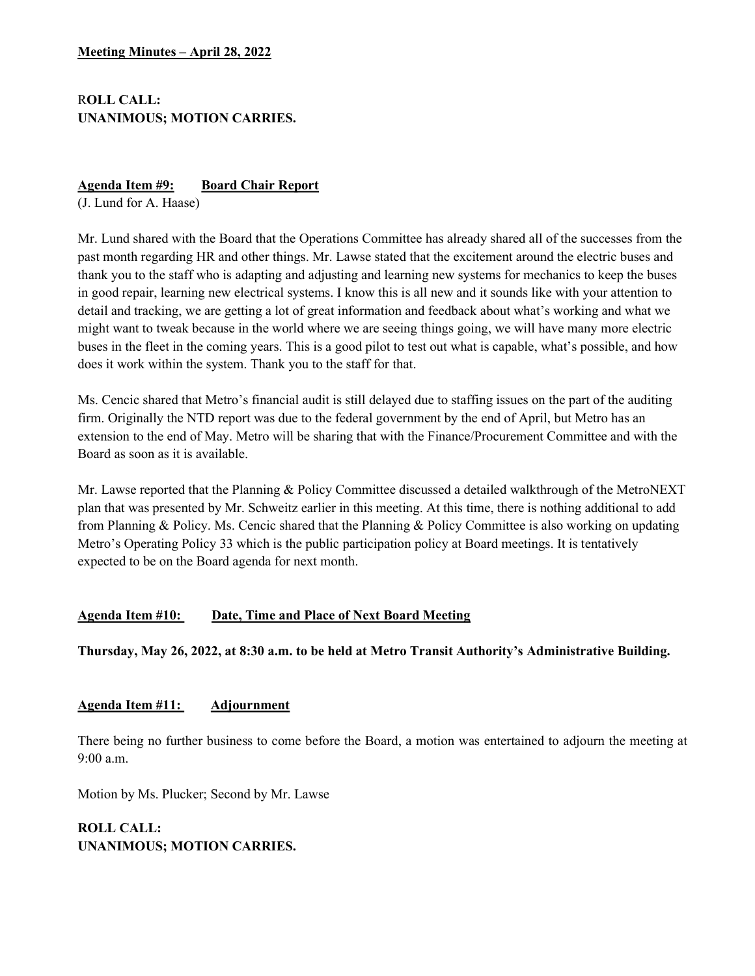# ROLL CALL: UNANIMOUS; MOTION CARRIES.

### Agenda Item #9: Board Chair Report

(J. Lund for A. Haase)

Mr. Lund shared with the Board that the Operations Committee has already shared all of the successes from the past month regarding HR and other things. Mr. Lawse stated that the excitement around the electric buses and thank you to the staff who is adapting and adjusting and learning new systems for mechanics to keep the buses in good repair, learning new electrical systems. I know this is all new and it sounds like with your attention to detail and tracking, we are getting a lot of great information and feedback about what's working and what we might want to tweak because in the world where we are seeing things going, we will have many more electric buses in the fleet in the coming years. This is a good pilot to test out what is capable, what's possible, and how does it work within the system. Thank you to the staff for that.

Ms. Cencic shared that Metro's financial audit is still delayed due to staffing issues on the part of the auditing firm. Originally the NTD report was due to the federal government by the end of April, but Metro has an extension to the end of May. Metro will be sharing that with the Finance/Procurement Committee and with the Board as soon as it is available.

Mr. Lawse reported that the Planning & Policy Committee discussed a detailed walkthrough of the MetroNEXT plan that was presented by Mr. Schweitz earlier in this meeting. At this time, there is nothing additional to add from Planning & Policy. Ms. Cencic shared that the Planning & Policy Committee is also working on updating Metro's Operating Policy 33 which is the public participation policy at Board meetings. It is tentatively expected to be on the Board agenda for next month.

# Agenda Item #10: Date, Time and Place of Next Board Meeting

Thursday, May 26, 2022, at 8:30 a.m. to be held at Metro Transit Authority's Administrative Building.

# Agenda Item #11: Adjournment

There being no further business to come before the Board, a motion was entertained to adjourn the meeting at 9:00 a.m.

Motion by Ms. Plucker; Second by Mr. Lawse

# ROLL CALL: UNANIMOUS; MOTION CARRIES.